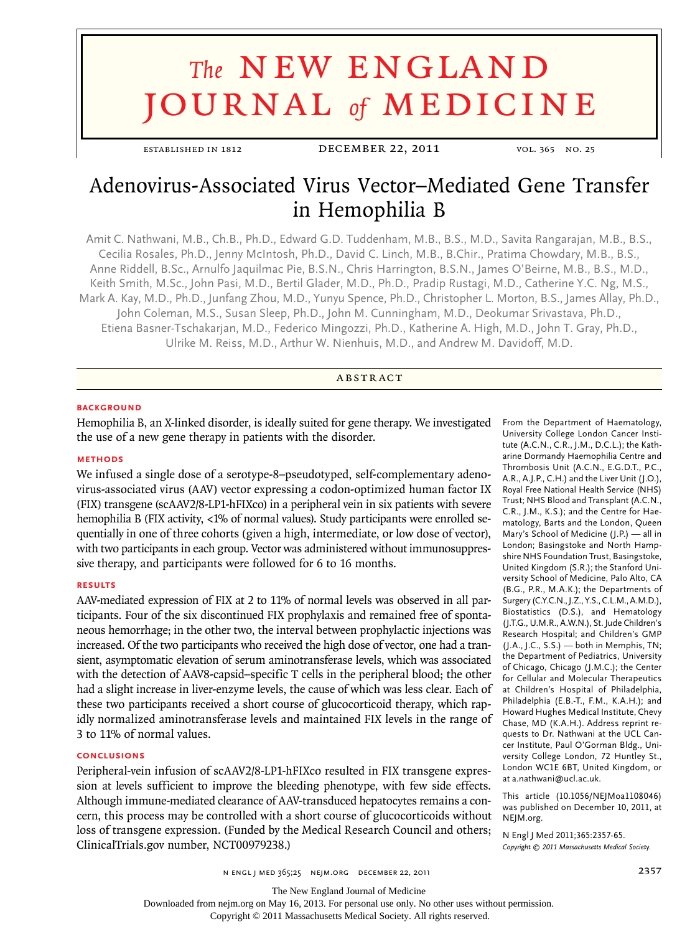# **The NEW ENGLAND** journal *of* medicine

ESTABLISHED IN 1812 **DECEMBER 22, 2011** vol. 365 no. 25

## Adenovirus-Associated Virus Vector–Mediated Gene Transfer in Hemophilia B

Amit C. Nathwani, M.B., Ch.B., Ph.D., Edward G.D. Tuddenham, M.B., B.S., M.D., Savita Rangarajan, M.B., B.S., Cecilia Rosales, Ph.D., Jenny McIntosh, Ph.D., David C. Linch, M.B., B.Chir., Pratima Chowdary, M.B., B.S., Anne Riddell, B.Sc., Arnulfo Jaquilmac Pie, B.S.N., Chris Harrington, B.S.N., James O'Beirne, M.B., B.S., M.D., Keith Smith, M.Sc., John Pasi, M.D., Bertil Glader, M.D., Ph.D., Pradip Rustagi, M.D., Catherine Y.C. Ng, M.S., Mark A. Kay, M.D., Ph.D., Junfang Zhou, M.D., Yunyu Spence, Ph.D., Christopher L. Morton, B.S., James Allay, Ph.D., John Coleman, M.S., Susan Sleep, Ph.D., John M. Cunningham, M.D., Deokumar Srivastava, Ph.D., Etiena Basner-Tschakarjan, M.D., Federico Mingozzi, Ph.D., Katherine A. High, M.D., John T. Gray, Ph.D., Ulrike M. Reiss, M.D., Arthur W. Nienhuis, M.D., and Andrew M. Davidoff, M.D.

#### **ABSTRACT**

#### **BACKGROUND**

Hemophilia B, an X-linked disorder, is ideally suited for gene therapy. We investigated the use of a new gene therapy in patients with the disorder.

#### **Methods**

We infused a single dose of a serotype-8–pseudotyped, self-complementary adenovirus-associated virus (AAV) vector expressing a codon-optimized human factor IX (FIX) transgene (scAAV2/8-LP1-hFIXco) in a peripheral vein in six patients with severe hemophilia B (FIX activity, <1% of normal values). Study participants were enrolled sequentially in one of three cohorts (given a high, intermediate, or low dose of vector), with two participants in each group. Vector was administered without immunosuppressive therapy, and participants were followed for 6 to 16 months.

#### **Results**

AAV-mediated expression of FIX at 2 to 11% of normal levels was observed in all participants. Four of the six discontinued FIX prophylaxis and remained free of spontaneous hemorrhage; in the other two, the interval between prophylactic injections was increased. Of the two participants who received the high dose of vector, one had a transient, asymptomatic elevation of serum aminotransferase levels, which was associated with the detection of AAV8-capsid–specific T cells in the peripheral blood; the other had a slight increase in liver-enzyme levels, the cause of which was less clear. Each of these two participants received a short course of glucocorticoid therapy, which rapidly normalized aminotransferase levels and maintained FIX levels in the range of 3 to 11% of normal values.

#### **Conclusions**

Peripheral-vein infusion of scAAV2/8-LP1-hFIXco resulted in FIX transgene expression at levels sufficient to improve the bleeding phenotype, with few side effects. Although immune-mediated clearance of AAV-transduced hepatocytes remains a concern, this process may be controlled with a short course of glucocorticoids without loss of transgene expression. (Funded by the Medical Research Council and others; ClinicalTrials.gov number, NCT00979238.)

From the Department of Haematology, University College London Cancer Institute (A.C.N., C.R., J.M., D.C.L.); the Katharine Dormandy Haemophilia Centre and Thrombosis Unit (A.C.N., E.G.D.T., P.C., A.R., A.J.P., C.H.) and the Liver Unit (J.O.), Royal Free National Health Service (NHS) Trust; NHS Blood and Transplant (A.C.N., C.R., J.M., K.S.); and the Centre for Haematology, Barts and the London, Queen Mary's School of Medicine (J.P.) — all in London; Basingstoke and North Hampshire NHS Foundation Trust, Basingstoke, United Kingdom (S.R.); the Stanford University School of Medicine, Palo Alto, CA (B.G., P.R., M.A.K.); the Departments of Surgery (C.Y.C.N., J.Z., Y.S., C.L.M., A.M.D.), Biostatistics (D.S.), and Hematology (J.T.G., U.M.R., A.W.N.), St. Jude Children's Research Hospital; and Children's GMP (J.A., J.C., S.S.) — both in Memphis, TN; the Department of Pediatrics, University of Chicago, Chicago (J.M.C.); the Center for Cellular and Molecular Therapeutics at Children's Hospital of Philadelphia, Philadelphia (E.B.-T., F.M., K.A.H.); and Howard Hughes Medical Institute, Chevy Chase, MD (K.A.H.). Address reprint requests to Dr. Nathwani at the UCL Cancer Institute, Paul O'Gorman Bldg., University College London, 72 Huntley St., London WC1E 6BT, United Kingdom, or at a.nathwani@ucl.ac.uk.

This article (10.1056/NEJMoa1108046) was published on December 10, 2011, at NEJM.org.

N Engl J Med 2011;365:2357-65. *Copyright © 2011 Massachusetts Medical Society.*

n engl j med 365;25 nejm.org december 22, 2011 2357

The New England Journal of Medicine

Downloaded from nejm.org on May 16, 2013. For personal use only. No other uses without permission.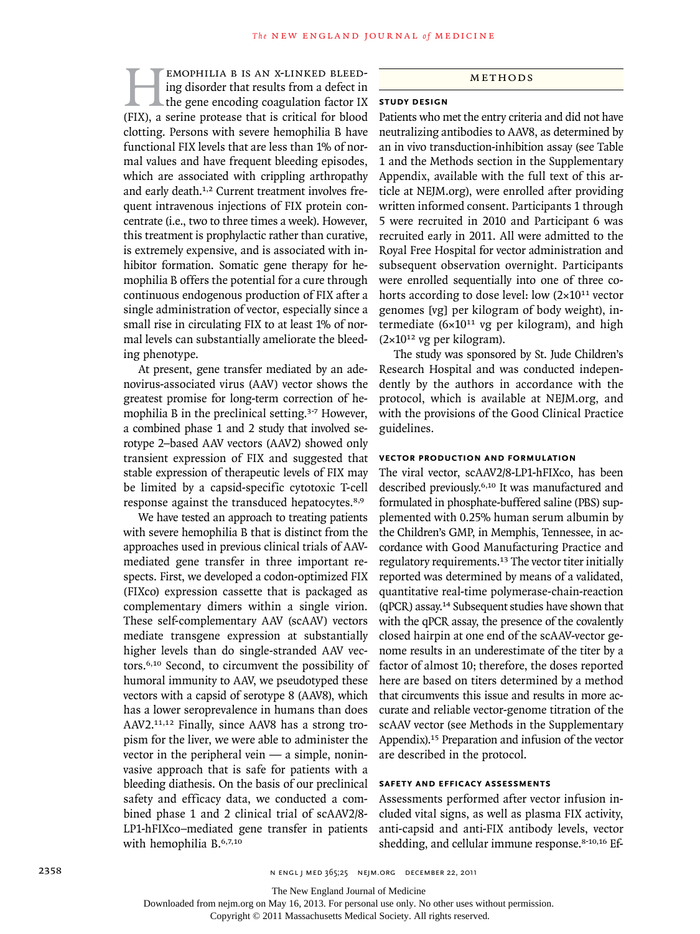EMOPHILIA B IS AN X-LINKED BLEED-<br>ing disorder that results from a defect in<br>the gene encoding coagulation factor IX<br>(FIX). a serine protease that is critical for blood ing disorder that results from a defect in the gene encoding coagulation factor IX (FIX), a serine protease that is critical for blood clotting. Persons with severe hemophilia B have functional FIX levels that are less than 1% of normal values and have frequent bleeding episodes, which are associated with crippling arthropathy and early death.<sup>1,2</sup> Current treatment involves frequent intravenous injections of FIX protein concentrate (i.e., two to three times a week). However, this treatment is prophylactic rather than curative, is extremely expensive, and is associated with inhibitor formation. Somatic gene therapy for hemophilia B offers the potential for a cure through continuous endogenous production of FIX after a single administration of vector, especially since a small rise in circulating FIX to at least 1% of normal levels can substantially ameliorate the bleeding phenotype.

At present, gene transfer mediated by an adenovirus-associated virus (AAV) vector shows the greatest promise for long-term correction of hemophilia B in the preclinical setting.<sup>3-7</sup> However, a combined phase 1 and 2 study that involved serotype 2–based AAV vectors (AAV2) showed only transient expression of FIX and suggested that stable expression of therapeutic levels of FIX may be limited by a capsid-specific cytotoxic T-cell response against the transduced hepatocytes.<sup>8,9</sup>

We have tested an approach to treating patients with severe hemophilia B that is distinct from the approaches used in previous clinical trials of AAVmediated gene transfer in three important respects. First, we developed a codon-optimized FIX (FIXco) expression cassette that is packaged as complementary dimers within a single virion. These self-complementary AAV (scAAV) vectors mediate transgene expression at substantially higher levels than do single-stranded AAV vectors.6,10 Second, to circumvent the possibility of humoral immunity to AAV, we pseudotyped these vectors with a capsid of serotype 8 (AAV8), which has a lower seroprevalence in humans than does AAV2.11,12 Finally, since AAV8 has a strong tropism for the liver, we were able to administer the vector in the peripheral vein  $-$  a simple, noninvasive approach that is safe for patients with a bleeding diathesis. On the basis of our preclinical safety and efficacy data, we conducted a combined phase 1 and 2 clinical trial of scAAV2/8- LP1-hFIXco–mediated gene transfer in patients with hemophilia B.<sup>6,7,10</sup>

#### METHODS

#### **Study Design**

Patients who met the entry criteria and did not have neutralizing antibodies to AAV8, as determined by an in vivo transduction-inhibition assay (see Table 1 and the Methods section in the Supplementary Appendix, available with the full text of this article at NEJM.org), were enrolled after providing written informed consent. Participants 1 through 5 were recruited in 2010 and Participant 6 was recruited early in 2011. All were admitted to the Royal Free Hospital for vector administration and subsequent observation overnight. Participants were enrolled sequentially into one of three cohorts according to dose level: low  $(2\times10^{11} \text{ vector})$ genomes [vg] per kilogram of body weight), intermediate  $(6×10<sup>11</sup>$  vg per kilogram), and high  $(2\times10^{12}$  vg per kilogram).

The study was sponsored by St. Jude Children's Research Hospital and was conducted independently by the authors in accordance with the protocol, which is available at NEJM.org, and with the provisions of the Good Clinical Practice guidelines.

#### **Vector Production and Formulation**

The viral vector, scAAV2/8-LP1-hFIXco, has been described previously.6,10 It was manufactured and formulated in phosphate-buffered saline (PBS) supplemented with 0.25% human serum albumin by the Children's GMP, in Memphis, Tennessee, in accordance with Good Manufacturing Practice and regulatory requirements.13 The vector titer initially reported was determined by means of a validated, quantitative real-time polymerase-chain-reaction (qPCR) assay.14 Subsequent studies have shown that with the qPCR assay, the presence of the covalently closed hairpin at one end of the scAAV-vector genome results in an underestimate of the titer by a factor of almost 10; therefore, the doses reported here are based on titers determined by a method that circumvents this issue and results in more accurate and reliable vector-genome titration of the scAAV vector (see Methods in the Supplementary Appendix).15 Preparation and infusion of the vector are described in the protocol.

#### **Safety and Efficacy Assessments**

Assessments performed after vector infusion included vital signs, as well as plasma FIX activity, anti-capsid and anti-FIX antibody levels, vector shedding, and cellular immune response.<sup>8-10,16</sup> Ef-

The New England Journal of Medicine

Downloaded from nejm.org on May 16, 2013. For personal use only. No other uses without permission.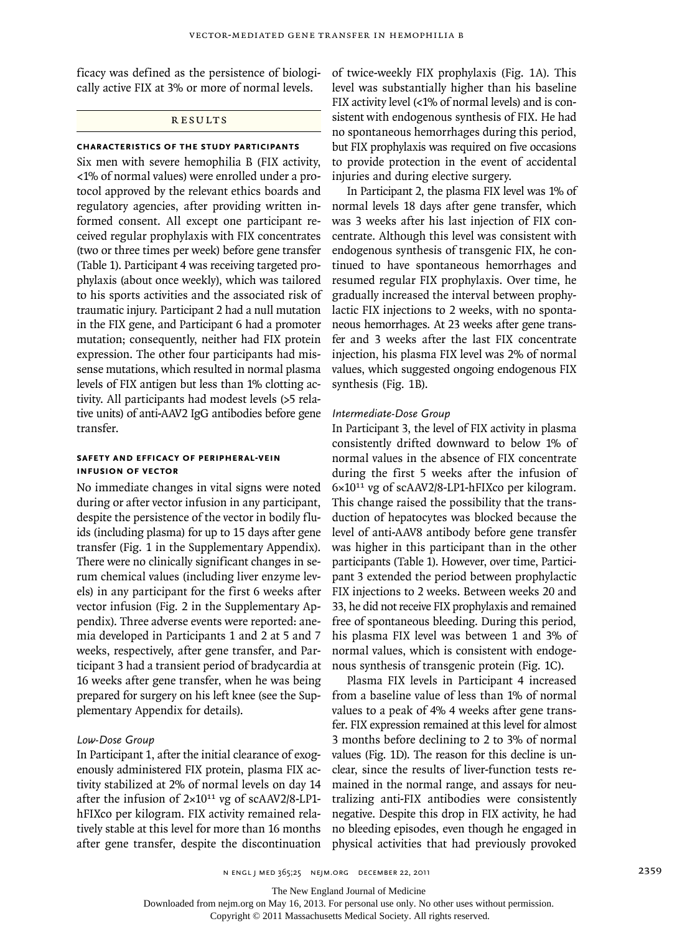ficacy was defined as the persistence of biologically active FIX at 3% or more of normal levels.

#### R esult s

#### **Characteristics of the Study Participants**

Six men with severe hemophilia B (FIX activity, <1% of normal values) were enrolled under a protocol approved by the relevant ethics boards and regulatory agencies, after providing written informed consent. All except one participant received regular prophylaxis with FIX concentrates (two or three times per week) before gene transfer (Table 1). Participant 4 was receiving targeted prophylaxis (about once weekly), which was tailored to his sports activities and the associated risk of traumatic injury. Participant 2 had a null mutation in the FIX gene, and Participant 6 had a promoter mutation; consequently, neither had FIX protein expression. The other four participants had missense mutations, which resulted in normal plasma levels of FIX antigen but less than 1% clotting activity. All participants had modest levels (>5 relative units) of anti-AAV2 IgG antibodies before gene transfer.

#### **Safety and Efficacy of Peripheral-Vein Infusion of Vector**

No immediate changes in vital signs were noted during or after vector infusion in any participant, despite the persistence of the vector in bodily fluids (including plasma) for up to 15 days after gene transfer (Fig. 1 in the Supplementary Appendix). There were no clinically significant changes in serum chemical values (including liver enzyme levels) in any participant for the first 6 weeks after vector infusion (Fig. 2 in the Supplementary Appendix). Three adverse events were reported: anemia developed in Participants 1 and 2 at 5 and 7 weeks, respectively, after gene transfer, and Participant 3 had a transient period of bradycardia at 16 weeks after gene transfer, when he was being prepared for surgery on his left knee (see the Supplementary Appendix for details).

### *Low-Dose Group*

In Participant 1, after the initial clearance of exogenously administered FIX protein, plasma FIX activity stabilized at 2% of normal levels on day 14 after the infusion of  $2 \times 10^{11}$  vg of scAAV2/8-LP1hFIXco per kilogram. FIX activity remained relatively stable at this level for more than 16 months after gene transfer, despite the discontinuation of twice-weekly FIX prophylaxis (Fig. 1A). This level was substantially higher than his baseline FIX activity level (<1% of normal levels) and is consistent with endogenous synthesis of FIX. He had no spontaneous hemorrhages during this period, but FIX prophylaxis was required on five occasions to provide protection in the event of accidental injuries and during elective surgery.

In Participant 2, the plasma FIX level was 1% of normal levels 18 days after gene transfer, which was 3 weeks after his last injection of FIX concentrate. Although this level was consistent with endogenous synthesis of transgenic FIX, he continued to have spontaneous hemorrhages and resumed regular FIX prophylaxis. Over time, he gradually increased the interval between prophylactic FIX injections to 2 weeks, with no spontaneous hemorrhages. At 23 weeks after gene transfer and 3 weeks after the last FIX concentrate injection, his plasma FIX level was 2% of normal values, which suggested ongoing endogenous FIX synthesis (Fig. 1B).

#### *Intermediate-Dose Group*

In Participant 3, the level of FIX activity in plasma consistently drifted downward to below 1% of normal values in the absence of FIX concentrate during the first 5 weeks after the infusion of 6×1011 vg of scAAV2/8-LP1-hFIXco per kilogram. This change raised the possibility that the transduction of hepatocytes was blocked because the level of anti-AAV8 antibody before gene transfer was higher in this participant than in the other participants (Table 1). However, over time, Participant 3 extended the period between prophylactic FIX injections to 2 weeks. Between weeks 20 and 33, he did not receive FIX prophylaxis and remained free of spontaneous bleeding. During this period, his plasma FIX level was between 1 and 3% of normal values, which is consistent with endogenous synthesis of transgenic protein (Fig. 1C).

Plasma FIX levels in Participant 4 increased from a baseline value of less than 1% of normal values to a peak of 4% 4 weeks after gene transfer. FIX expression remained at this level for almost 3 months before declining to 2 to 3% of normal values (Fig. 1D). The reason for this decline is unclear, since the results of liver-function tests remained in the normal range, and assays for neutralizing anti-FIX antibodies were consistently negative. Despite this drop in FIX activity, he had no bleeding episodes, even though he engaged in physical activities that had previously provoked

The New England Journal of Medicine

Downloaded from nejm.org on May 16, 2013. For personal use only. No other uses without permission.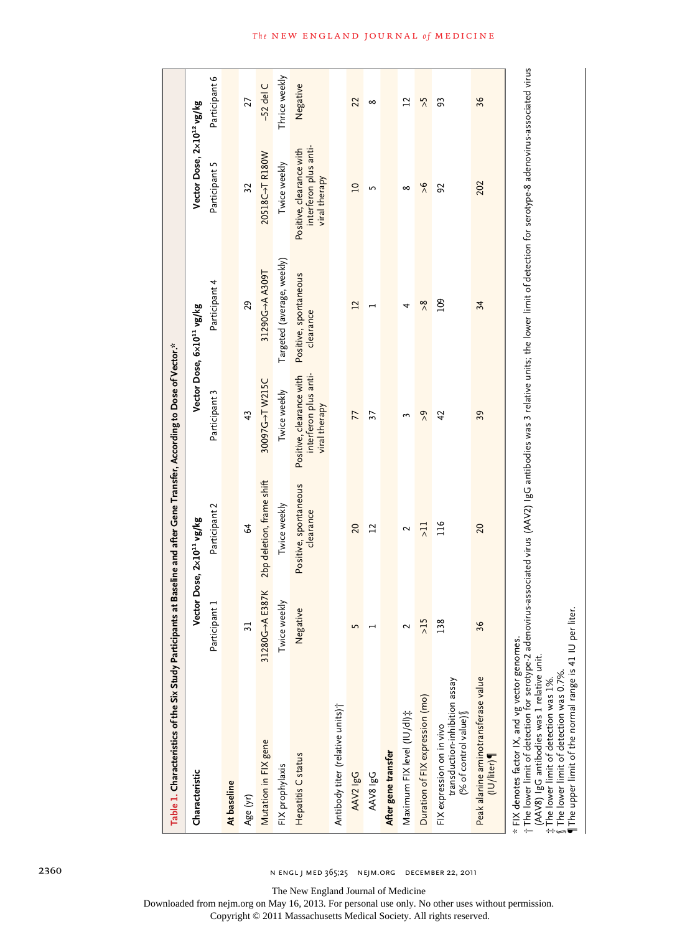| Table 1. Characteristics of the Six Study Participants at Baseline and after Gene Transfer, According to Dose of Vector." |                 |                                       |                                                                    |                                       |                                                                    |                 |
|---------------------------------------------------------------------------------------------------------------------------|-----------------|---------------------------------------|--------------------------------------------------------------------|---------------------------------------|--------------------------------------------------------------------|-----------------|
| Characteristic                                                                                                            |                 | Vector Dose, 2x10 <sup>11</sup> vg/kg |                                                                    | Vector Dose, 6x10 <sup>11</sup> vg/kg | Vector Dose, 2x10 <sup>12</sup> vg/kg                              |                 |
|                                                                                                                           | Participant 1   | Participant 2                         | Participant 3                                                      | Participant 4                         | Participant 5                                                      | Participant 6   |
| At baseline                                                                                                               |                 |                                       |                                                                    |                                       |                                                                    |                 |
| Age (yr)                                                                                                                  | $\overline{31}$ | $\mathcal{L}$                         | 43                                                                 | 29                                    | 32                                                                 | 27              |
| Mutation in FIX gene                                                                                                      | 31280G->A E387K | 2bp deletion, frame shift             | 30097G-7W215C                                                      | 31290G-A A309T                        | 20518C->TR180W                                                     | $-52$ del C     |
| FIX prophylaxis                                                                                                           | Twice weekly    | Twice weekly                          | Twice weekly                                                       | Targeted (average, weekly)            | Twice weekly                                                       | Thrice weekly   |
| Hepatitis C status                                                                                                        | Negative        | Positive, spontaneous<br>clearance    | interferon plus anti-<br>Positive, clearance with<br>viral therapy | Positive, spontaneous<br>clearance    | interferon plus anti-<br>Positive, clearance with<br>viral therapy | Negative        |
| Antibody titer (relative units);                                                                                          |                 |                                       |                                                                    |                                       |                                                                    |                 |
| AAV2 IgG                                                                                                                  | S               | 20                                    | 77                                                                 | 12                                    | $\overline{a}$                                                     | 22              |
| AAV8 IgG                                                                                                                  |                 | $\overline{12}$                       | $\overline{37}$                                                    | $\overline{ }$                        | S                                                                  | $\infty$        |
| After gene transfer                                                                                                       |                 |                                       |                                                                    |                                       |                                                                    |                 |
| Maximum FIX level (IU/dl) ;                                                                                               | $\sim$          | 2                                     | 3                                                                  | 4                                     | $\infty$                                                           | $\overline{12}$ |
| Duration of FIX expression (mo)                                                                                           | $>15$           | $\overline{11}$                       | $\tilde{e}$                                                        | $\tilde{\mathcal{S}}$                 | $\frac{8}{2}$                                                      | $\lambda$       |
| transduction-inhibition assay<br>(% of control value)<br>FIX expression on in vivo                                        | 138             | 116                                   | $\overline{4}$                                                     | 109                                   | 92                                                                 | 93              |
| Peak alanine aminotransferase value<br>(IU/liter)                                                                         | 36              | 20                                    | 39                                                                 | 34                                    | 202                                                                | 36              |

‡§

 The lower limit of detection was 1%. The lower limit of detection was 0.7%. ¶The upper limit of the normal range is 41 IU per liter.

The New England Journal of Medicine

Downloaded from nejm.org on May 16, 2013. For personal use only. No other uses without permission.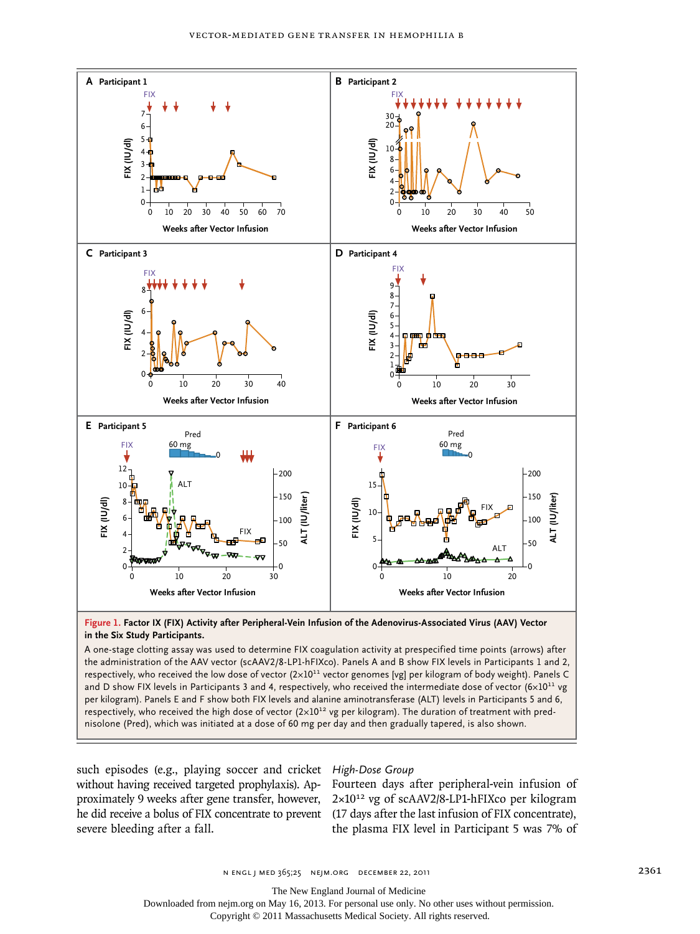

#### **Figure 1. Factor IX (FIX) Activity after Peripheral-Vein Infusion of the Adenovirus-Associated Virus (AAV) Vector in the Six Study Participants.**

A one-stage clotting assay was used to determine FIX coagulation activity at prespecified time points (arrows) after the administration of the AAV vector (scAAV2/8-LP1-hFIXco). Panels A and B show FIX levels in Participants 1 and 2, respectively, who received the low dose of vector  $(2\times10^{11}$  vector genomes [vg] per kilogram of body weight). Panels C and D show FIX levels in Participants 3 and 4, respectively, who received the intermediate dose of vector  $(6\times10^{11} \text{ kg})$ per kilogram). Panels E and F show both FIX levels and alanine aminotransferase (ALT) levels in Participants 5 and 6, respectively, who received the high dose of vector  $(2\times10^{12}$  vg per kilogram). The duration of treatment with prednisolone (Pred), which was initiated at a dose of 60 mg per day and then gradually tapered, is also shown.

such episodes (e.g., playing soccer and cricket *High-Dose Group* without having received targeted prophylaxis). Approximately 9 weeks after gene transfer, however, he did receive a bolus of FIX concentrate to prevent (17 days after the last infusion of FIX concentrate), severe bleeding after a fall.

Fourteen days after peripheral-vein infusion of  $2\times10^{12}$  vg of scAAV2/8-LP1-hFIXco per kilogram

n engl j med 365;25 nejm.org december 22, 2011 2361

The New England Journal of Medicine

Downloaded from nejm.org on May 16, 2013. For personal use only. No other uses without permission.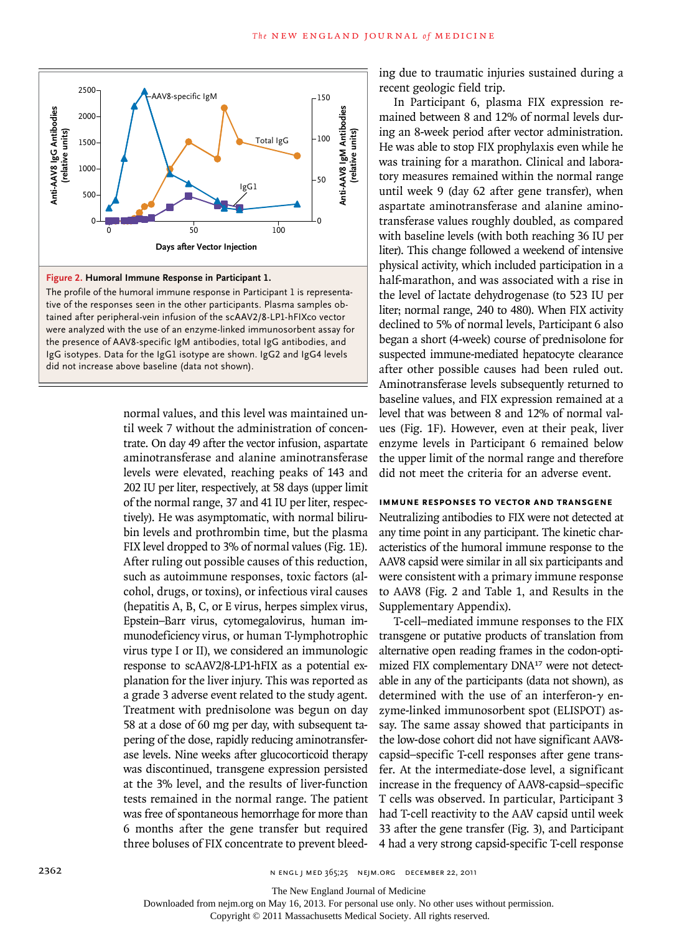

#### **Figure 2. Humoral Immune Response in Participant 1.**

The profile of the humoral immune response in Participant 1 is representative of the responses seen in the other participants. Plasma samples obtained after peripheral-vein infusion of the scAAV2/8-LP1-hFIXco vector were analyzed with the use of an enzyme-linked immunosorbent assay for the presence of AAV8-specific IgM antibodies, total IgG antibodies, and IgG isotypes. Data for the IgG1 isotype are shown. IgG2 and IgG4 levels did not increase above baseline (data not shown).

> normal values, and this level was maintained until week 7 without the administration of concentrate. On day 49 after the vector infusion, aspartate aminotransferase and alanine aminotransferase levels were elevated, reaching peaks of 143 and 202 IU per liter, respectively, at 58 days (upper limit of the normal range, 37 and 41 IU per liter, respectively). He was asymptomatic, with normal bilirubin levels and prothrombin time, but the plasma FIX level dropped to 3% of normal values (Fig. 1E). After ruling out possible causes of this reduction, such as autoimmune responses, toxic factors (alcohol, drugs, or toxins), or infectious viral causes (hepatitis A, B, C, or E virus, herpes simplex virus, Epstein–Barr virus, cytomegalovirus, human immunodeficiency virus, or human T-lymphotrophic virus type I or II), we considered an immunologic response to scAAV2/8-LP1-hFIX as a potential explanation for the liver injury. This was reported as a grade 3 adverse event related to the study agent. Treatment with prednisolone was begun on day 58 at a dose of 60 mg per day, with subsequent tapering of the dose, rapidly reducing aminotransferase levels. Nine weeks after glucocorticoid therapy was discontinued, transgene expression persisted at the 3% level, and the results of liver-function tests remained in the normal range. The patient was free of spontaneous hemorrhage for more than 6 months after the gene transfer but required three boluses of FIX concentrate to prevent bleed

ing due to traumatic injuries sustained during a recent geologic field trip.

In Participant 6, plasma FIX expression remained between 8 and 12% of normal levels during an 8-week period after vector administration. He was able to stop FIX prophylaxis even while he was training for a marathon. Clinical and laboratory measures remained within the normal range until week 9 (day 62 after gene transfer), when aspartate aminotransferase and alanine aminotransferase values roughly doubled, as compared with baseline levels (with both reaching 36 IU per liter). This change followed a weekend of intensive physical activity, which included participation in a half-marathon, and was associated with a rise in the level of lactate dehydrogenase (to 523 IU per liter; normal range, 240 to 480). When FIX activity declined to 5% of normal levels, Participant 6 also began a short (4-week) course of prednisolone for suspected immune-mediated hepatocyte clearance after other possible causes had been ruled out. Aminotransferase levels subsequently returned to baseline values, and FIX expression remained at a level that was between 8 and 12% of normal values (Fig. 1F). However, even at their peak, liver enzyme levels in Participant 6 remained below the upper limit of the normal range and therefore did not meet the criteria for an adverse event.

#### **Immune Responses to Vector and Transgene**

Neutralizing antibodies to FIX were not detected at any time point in any participant. The kinetic characteristics of the humoral immune response to the AAV8 capsid were similar in all six participants and were consistent with a primary immune response to AAV8 (Fig. 2 and Table 1, and Results in the Supplementary Appendix).

T-cell–mediated immune responses to the FIX transgene or putative products of translation from alternative open reading frames in the codon-optimized FIX complementary DNA17 were not detectable in any of the participants (data not shown), as determined with the use of an interferon-γ enzyme-linked immunosorbent spot (ELISPOT) assay. The same assay showed that participants in the low-dose cohort did not have significant AAV8 capsid–specific T-cell responses after gene transfer. At the intermediate-dose level, a significant increase in the frequency of AAV8-capsid–specific T cells was observed. In particular, Participant 3 had T-cell reactivity to the AAV capsid until week 33 after the gene transfer (Fig. 3), and Participant 4 had a very strong capsid-specific T-cell response

The New England Journal of Medicine

Downloaded from nejm.org on May 16, 2013. For personal use only. No other uses without permission.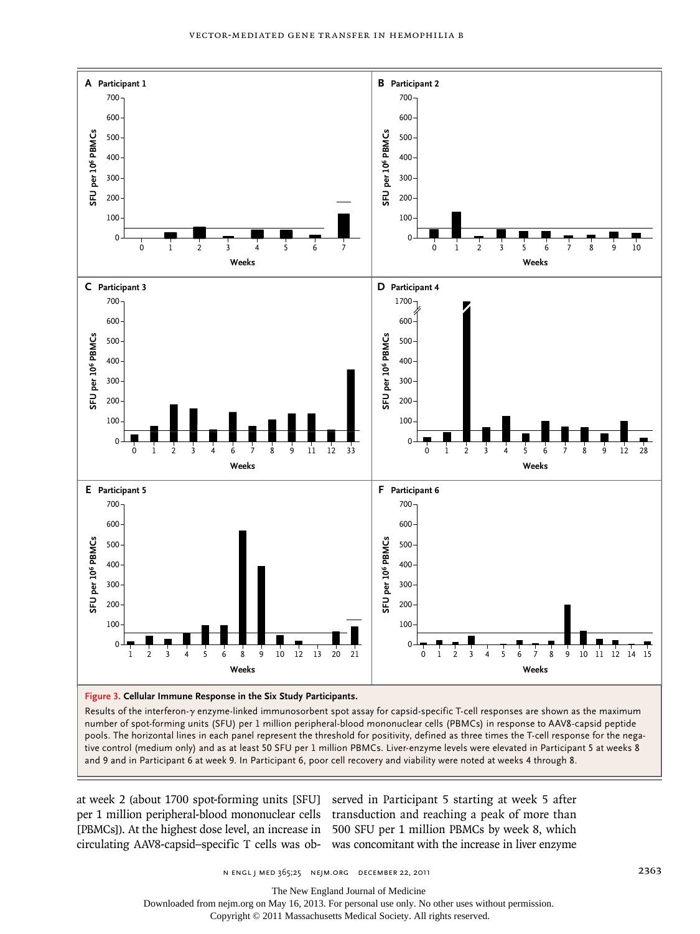

Results of the interferon-γ enzyme-linked immunosorbent spot assay for capsid-specific T-cell responses are shown as the maximum number of spot-forming units (SFU) per 1 million peripheral-blood mononuclear cells (PBMCs) in response to AAV8-capsid peptide pools. The horizontal lines in each panel represent the threshold for positivity, defined as three times the T-cell response for the negative control (medium only) and as at least 50 SFU per 1 million PBMCs. Liver-enzyme levels were elevated in Participant 5 at weeks 8 and 9 and in Participant 6 at week 9. In Participant 6, poor cell recovery and viability were noted at weeks 4 through 8.

at week 2 (about 1700 spot-forming units [SFU] served in Participant 5 starting at week 5 after per 1 million peripheral-blood mononuclear cells transduction and reaching a peak of more than [PBMCs]). At the highest dose level, an increase in 500 SFU per 1 million PBMCs by week 8, which circulating AAV8-capsid–specific T cells was ob-was concomitant with the increase in liver enzyme

n engl j med 365;25 nejm.org december 22, 2011 2363

The New England Journal of Medicine

Downloaded from nejm.org on May 16, 2013. For personal use only. No other uses without permission.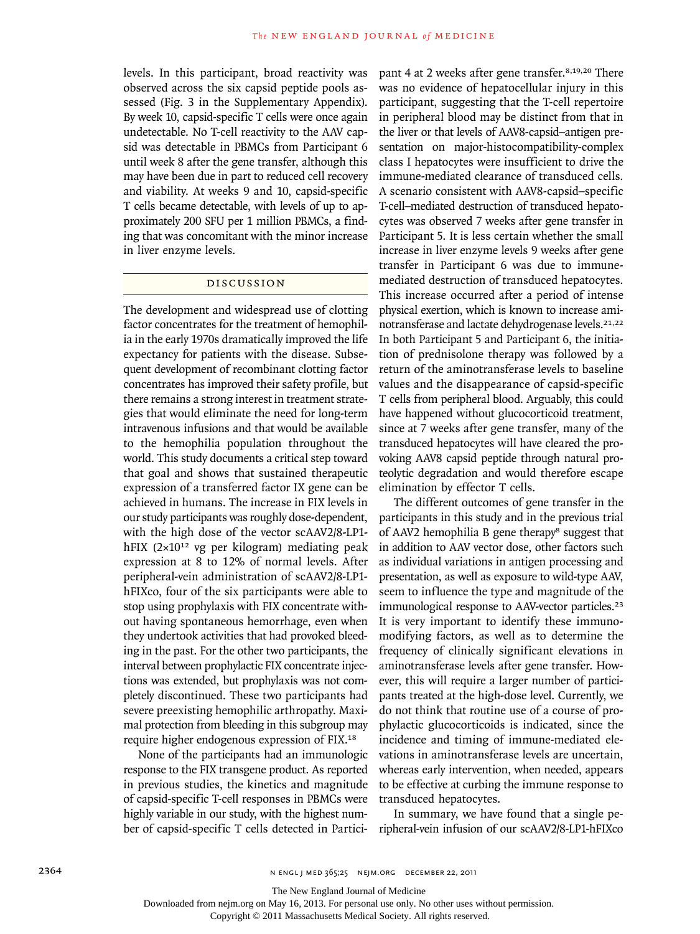levels. In this participant, broad reactivity was observed across the six capsid peptide pools assessed (Fig. 3 in the Supplementary Appendix). By week 10, capsid-specific T cells were once again undetectable. No T-cell reactivity to the AAV capsid was detectable in PBMCs from Participant 6 until week 8 after the gene transfer, although this may have been due in part to reduced cell recovery and viability. At weeks 9 and 10, capsid-specific T cells became detectable, with levels of up to approximately 200 SFU per 1 million PBMCs, a finding that was concomitant with the minor increase in liver enzyme levels.

#### Discussion

The development and widespread use of clotting factor concentrates for the treatment of hemophilia in the early 1970s dramatically improved the life expectancy for patients with the disease. Subsequent development of recombinant clotting factor concentrates has improved their safety profile, but there remains a strong interest in treatment strategies that would eliminate the need for long-term intravenous infusions and that would be available to the hemophilia population throughout the world. This study documents a critical step toward that goal and shows that sustained therapeutic expression of a transferred factor IX gene can be achieved in humans. The increase in FIX levels in our study participants was roughly dose-dependent, with the high dose of the vector scAAV2/8-LP1 hFIX  $(2\times10^{12}$  vg per kilogram) mediating peak expression at 8 to 12% of normal levels. After peripheral-vein administration of scAAV2/8-LP1 hFIXco, four of the six participants were able to stop using prophylaxis with FIX concentrate without having spontaneous hemorrhage, even when they undertook activities that had provoked bleeding in the past. For the other two participants, the interval between prophylactic FIX concentrate injections was extended, but prophylaxis was not completely discontinued. These two participants had severe preexisting hemophilic arthropathy. Maximal protection from bleeding in this subgroup may require higher endogenous expression of FIX.<sup>18</sup>

None of the participants had an immunologic response to the FIX transgene product. As reported in previous studies, the kinetics and magnitude of capsid-specific T-cell responses in PBMCs were highly variable in our study, with the highest number of capsid-specific T cells detected in Participant 4 at 2 weeks after gene transfer.<sup>8,19,20</sup> There was no evidence of hepatocellular injury in this participant, suggesting that the T-cell repertoire in peripheral blood may be distinct from that in the liver or that levels of AAV8-capsid–antigen presentation on major-histocompatibility-complex class I hepatocytes were insufficient to drive the immune-mediated clearance of transduced cells. A scenario consistent with AAV8-capsid–specific T-cell–mediated destruction of transduced hepatocytes was observed 7 weeks after gene transfer in Participant 5. It is less certain whether the small increase in liver enzyme levels 9 weeks after gene transfer in Participant 6 was due to immunemediated destruction of transduced hepatocytes. This increase occurred after a period of intense physical exertion, which is known to increase aminotransferase and lactate dehydrogenase levels.<sup>21,22</sup> In both Participant 5 and Participant 6, the initiation of prednisolone therapy was followed by a return of the aminotransferase levels to baseline values and the disappearance of capsid-specific T cells from peripheral blood. Arguably, this could have happened without glucocorticoid treatment, since at 7 weeks after gene transfer, many of the transduced hepatocytes will have cleared the provoking AAV8 capsid peptide through natural proteolytic degradation and would therefore escape elimination by effector T cells.

The different outcomes of gene transfer in the participants in this study and in the previous trial of AAV2 hemophilia B gene therapy<sup>8</sup> suggest that in addition to AAV vector dose, other factors such as individual variations in antigen processing and presentation, as well as exposure to wild-type AAV, seem to influence the type and magnitude of the immunological response to AAV-vector particles.<sup>23</sup> It is very important to identify these immunomodifying factors, as well as to determine the frequency of clinically significant elevations in aminotransferase levels after gene transfer. However, this will require a larger number of participants treated at the high-dose level. Currently, we do not think that routine use of a course of prophylactic glucocorticoids is indicated, since the incidence and timing of immune-mediated elevations in aminotransferase levels are uncertain, whereas early intervention, when needed, appears to be effective at curbing the immune response to transduced hepatocytes.

In summary, we have found that a single peripheral-vein infusion of our scAAV2/8-LP1-hFIXco

Downloaded from nejm.org on May 16, 2013. For personal use only. No other uses without permission.